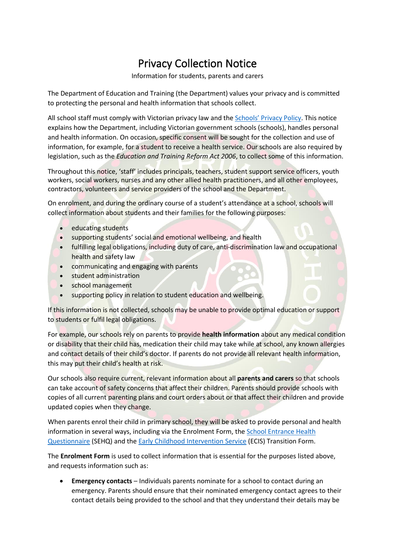## Privacy Collection Notice

Information for students, parents and carers

The Department of Education and Training (the Department) values your privacy and is committed to protecting the personal and health information that schools collect.

All school staff must comply with Victorian privacy law and the [Schools' Privacy Policy](https://www.education.vic.gov.au/Pages/schoolsprivacypolicy.aspx). This notice explains how the Department, including Victorian government schools (schools), handles personal and health information. On occasion, specific consent will be sought for the collection and use of information, for example, for a student to receive a health service. Our schools are also required by legislation, such as the *Education and Training Reform Act 2006*, to collect some of this information.

Throughout this notice, 'staff' includes principals, teachers, student support service officers, youth workers, social workers, nurses and any other allied health practitioners, and all other employees, contractors, volunteers and service providers of the school and the Department.

On enrolment, and during the ordinary course of a student's attendance at a school, schools will collect information about students and their families for the following purposes:

- educating students
- supporting students' social and emotional wellbeing, and health
- fulfilling legal obligations, including duty of care, anti-discrimination law and occupational health and safety law
- communicating and engaging with parents
- student administration
- school management
- supporting policy in relation to student education and wellbeing.

If this information is not collected, schools may be unable to provide optimal education or support to students or fulfil legal obligations.

For example, our schools rely on parents to provide **health information** about any medical condition or disability that their child has, medication their child may take while at school, any known allergies and contact details of their child's doctor. If parents do not provide all relevant health information, this may put their child's health at risk.

Our schools also require current, relevant information about all **parents and carers** so that schools can take account of safety concerns that affect their children. Parents should provide schools with copies of all current parenting plans and court orders about or that affect their children and provide updated copies when they change.

When parents enrol their child in primary school, they will be asked to provide personal and health information in several ways, including via the Enrolment Form, th[e School Entrance Health](https://www.education.vic.gov.au/about/research/Pages/reportdatahealth.aspx)  [Questionnaire](https://www.education.vic.gov.au/about/research/Pages/reportdatahealth.aspx) (SEHQ) and th[e Early Childhood Intervention Service](https://www.education.vic.gov.au/childhood/professionals/needs/Pages/ecisabout.aspx) (ECIS) Transition Form.

The **Enrolment Form** is used to collect information that is essential for the purposes listed above, and requests information such as:

• **Emergency contacts** – Individuals parents nominate for a school to contact during an emergency. Parents should ensure that their nominated emergency contact agrees to their contact details being provided to the school and that they understand their details may be